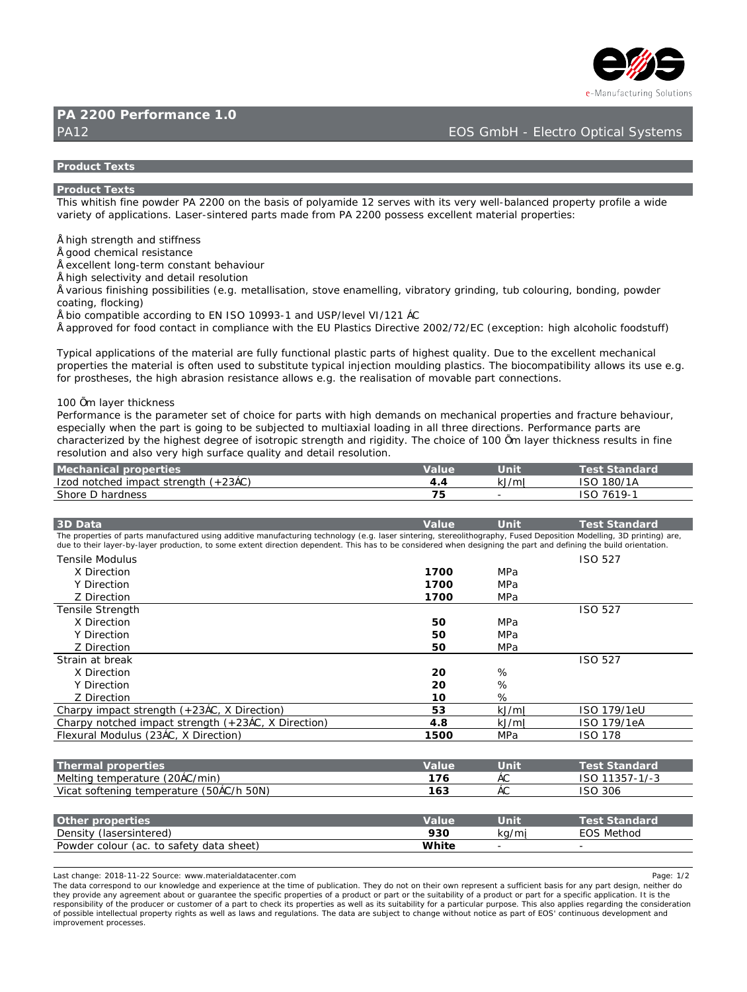

# **D5 & & \$\$ DYf Zcfa Ub W %"\$**

# PA12 EOS GmbH - Electro Optical Systems of Contractors Contractors Contractors Optical Systems of Contractors Optical Systems of Contractors Contractors Contractors Contractors Contractors Contractors Contractors Contracto

#### **Product** Texts Will Texts

#### **DfcXi WiHYI hg**

H\]g`k \]h]g\`ZJbY`dck XYf`D5`&&\$\$`cb`h\Y`VUg]g`cZ'dc`mUa ]XY`%&`gYfj`Yg`k]h\`]hg`j`Yfm`kY``!VU`UbWYX`dfcdYfhmdfcZ]`Y`U`k]XY i UflYhmcZUdd`lWUhlcba" @UaYf!albhYfYX dUfha a UXY Zfca `D5 &&\$\$ dcaaYaa`Yl WY``Ybh a UhYflU`dfcdYfhlYa.

 $i \in [N]$  strength and strength and strength and strength and strength and strength and strength and strength and strength and strength and strength and strength and strength and strength and strength and strength and stre

i [ ccX W Ya ]WU fYg]ghUbW

i YI W "Ybh cb[!hYfa WtbghUbh VY\Uj]cif

i \][\gY`YWh]j]miUbX`XYHU]`fYqc`i h]cb

iil Uf]ciq'Z|b]q\]b['dcqq]V]`|h]Yq'fN"["'a YHU``]qUh]cbž'qhcjY'YbUa Y``|b[žj|VfUhcfm[f]bX]b[žhiV'Wc`cif]b[žVcbX]b[ždckXYf] Wouhlb[ž'ZcW\_lb[Ł

 $i$  V]c Wea dUhJVY UWWERJb[ he 9B = GC %\$ - - '! % UbX I GD#Yi Yil = #%&% š7

.<br>I Uddfci YX Zcf ZccX WŁbHUWhib WŁad`IUbWY k Ih\ h\Y 9I D`UghIWa 81fYWhii Y &\$\$&#+&#97 fMI WYdhicb. \II \ U`WŁ\c`IWZccXghi ZZŁ

Hmd]WU`Udd`]WUh]cbg`cZ`h\Y`a UhYf]U``UfY`Z ``m`Z bWh]cbU``d`Ugh]WdUfhg`cZ\][\Ygh`ei U`]hm'`8i Y`hc`h\Y`YI WY``Ybh`a YW\Ub]WU` dfcdYfhJYq'h\Y'a UhYfJU`']q'cZhYb'i qYX'hc'qi Vqh]hi hY'hmd]WU`']b^YWh]cb'a ci `X]b['d`Uqh]Wq"'H\Y'V]cWa dUh]V]`]hm'U``ck q`]hq'i qY'Y"[" Zcf dfcqh YqYqž h Y \] \ UVfUqcb fYqlqhUbWY U`ck q Y" | " h Y fYU`lqUhcb cZa cj UV Y dUfh WcbbYWhcbq"

#### $%$ \$\$' $\pm a$  'Um Y f'h  $\sqrt{W}$  b Y gg

DYfZcfa UbW ]g h\Y dUfUa YhYf gYhcZWc]W Zcf dUfhg k ]h\ \][\ XYa UbXg cb a YWUb]WD dfcdYfh]Yg UbX ZUWi fY VY\Uj ]ci fž YgdYWU``mk \Yb h\Y`dUfh`]g`[c]b[ `hc VY`gi V^YWYX`hc a i `h]Ul ]U``cUX]b[ `]b U```h\fYY`X]fYWMcbg" DYfZcfa UbWY dUfhg`UfY W.UfUVWYf]nYX Vmh\Y \][\YghXY[fYY cZ]gchfcd]WghfYb[h\UbX f][]X]mi'H\Y W\c]W cZ%\$\$ +a wUmYf h\]W\_bYgg fYgi `hg ]b ZJbY fYgc'i hicb UbX U'gc j Yfm\][\'gi fZUW'ei U']hmUbX XYhU]' fYgc'i hicb"

| A YWN Ub]WU`dfcdYfh]Yq             | lb Ih. | IHYah GhUb XUf X          |
|------------------------------------|--------|---------------------------|
| ⊫ncXbchWlYX]adUWhiqhfYb[h\flŽ&'š7Ł | ≫#a    | \$#%5<br>$= G C \cdot \%$ |
| G\cfY`8`\UfXbYqq                   |        | $*$ % $\frac{1}{6}$       |

| $' 8.8$ UHJ                                                                                                                                                                                                                                                                                                                                                   | JU`i Y    | $l$ b <sub>lh</sub> | HYgh GhUb XUf X               |
|---------------------------------------------------------------------------------------------------------------------------------------------------------------------------------------------------------------------------------------------------------------------------------------------------------------------------------------------------------------|-----------|---------------------|-------------------------------|
| H\Y`dfcdYfh]Yg`cZdUfhg`a Ubi ZJVWifYX`i g]b[`UXX]h]j Y`a Ubi ZJVWif]b[`hYW\bc`c[mfh'"["``UgYf`g]bhYf]b[ž`ghYfYc`]h\c[fUd\mž`: i gYX`8Ydcg]h]cb`A cXY``]b[ž' 8`df]bh]b[Ł`UfYž<br>Xi Y rc h\Y]f ``UnYf! Vml `UnYf dfcXi VW cbž rc gca Y `YI hYbh`X]fYVW cb`XYdYbXYbH' H\]g`\Ug`rc VY`Wbg]XYfYX`k \Yb`XYq][ b]b[ `h\Y`dUfh`UbX`XYZ b]b[ `h\Y`Vi ]`X`cf]YbHUh]cb" |           |                     |                               |
| HYbg`Y`A cXi `i q                                                                                                                                                                                                                                                                                                                                             |           |                     | $\exists$ GC $\rightarrow$ &+ |
| $L$ 8 $[YWN]$ cb                                                                                                                                                                                                                                                                                                                                              | $%+$ \$\$ | A DU                |                               |
| M8 TryWicb                                                                                                                                                                                                                                                                                                                                                    | $%+$ \$\$ | A DU                |                               |
| N 8 FYWHCb                                                                                                                                                                                                                                                                                                                                                    | $%+$ \$\$ | A DU                |                               |
| HYbg]`Y`GhfYb[h\                                                                                                                                                                                                                                                                                                                                              |           |                     | $\exists$ GC $\rightarrow$ &+ |
| L 8 FYWHCb                                                                                                                                                                                                                                                                                                                                                    | -\$       | A DU                |                               |
| M8 TryWicb                                                                                                                                                                                                                                                                                                                                                    | \$        | A DU                |                               |
| N 8 FYWHCb                                                                                                                                                                                                                                                                                                                                                    | \$        | A DU                |                               |
| GhfU]b Uh VfYU                                                                                                                                                                                                                                                                                                                                                |           |                     | $\exists$ GC $\rightarrow$ &+ |
| $L$ 8 $[YWN]$ cb                                                                                                                                                                                                                                                                                                                                              | &\$       |                     |                               |
| M8 TryWicb                                                                                                                                                                                                                                                                                                                                                    | &\$       |                     |                               |
| N 8 IFYWHIC b                                                                                                                                                                                                                                                                                                                                                 | %\$       |                     |                               |
| 7\Ufdm]a dUVhghfYb[h\fŽ&'š7žL8]fYVh]cbŁ                                                                                                                                                                                                                                                                                                                       |           | >#a                 | $\pm$ GC '%+ - #%YI           |
| 7\UfdmbchWYX a dUWightYb[h\fZ &' š7žL 8 fYWhcbL                                                                                                                                                                                                                                                                                                               | - 88      | _⊁#a                | $\pm$ GC '%+ - #%Y5           |
| : `YlifU``AcXi`iqfl&' š7žL 8]fYWh]cbŁ                                                                                                                                                                                                                                                                                                                         | %) \$\$   | A DU                | $=GC$ $%+$ .                  |

|                                                      |        | HYah GhUb XUf X                   |
|------------------------------------------------------|--------|-----------------------------------|
| A Y`h]b[ hYa dYfUhi fY fl&\$š7#a ]bŁ<br>%+           | $\sim$ | %%<br>, +! %#! '<br>$\exists G C$ |
| J]WUhgcZhYb]b[ hYadYfUhifY fl)\$š7#\ )\$BŁ<br>$0/$ * | $\sim$ | ユっし                               |

| Ch\Yf dfcdYfh]Yq                           | ⊟Fi V                    | <b>Ibin</b> | HYgh GhUb XUf X |
|--------------------------------------------|--------------------------|-------------|-----------------|
| 8 Ybg hmflUgYfg bhYfYXŁ                    | $\overline{\phantom{0}}$ | #2          | 9CGAYNCX        |
| Dck XYf We'ci f flUW he gUZYhm XUHU g\YYhE | . IhY                    |             |                 |

eUghWiUb[Y.`&\$%,!%%I&&`GcifWY.`kkk"aUhYf]U`XUhUWYbhYf"Wca تاكليم المستخدم المستخدم المستخدم المستخدم المستخدم المستخدم المستخدم المستخدم المستخدم المستخدم المستخدم المستخدم المستخدم المستخدم المستخدم المستخدم المستخدم الم

H\Y`XUHJ`WtffYgdcbX`hc`ci f`\_bck `YX[Y`UbX`YI dYf]YbWY`UhiNY`h]a Y`cZdi V`]WUh]cb"`H\YmXc`bchcb`h\Y]f`ck b`fYdfYgYbhU`gi Z]WYbhVUg]g`Zcf`UbmdUfhXYg][ bž`bY]h\Yf`Xc h\Ymdfcj]XY`UbmU[fYYa YbhUVci hcf`[i UfUbhYY`h\Y`gdYWZWdfcdYfh]Yg`cZU`dfcXi Wrcf`dUfh`cf`h\Y`gi]HUV]`]hmcZU`dfcXi Wrcf`dUfhZrf`U`gdYWZWUdd`]WUhcb"=h]g`h\Y fYgdcbgJVJ]mcZh\Y`dfcXi Wf`cf`W ghca Yf`cZU`dUfh'h: VXYW\_]hg`dfcdYfhJYg`Ug`k Y```Ug`]hg`gi ]hUV]]hmZrf`U`dUfhJW`Uf`di fdcgY"`H\]g`U`gc`Udd`]Yg`fY[ UfXJb[ `h\Y`WbgJXYfUh]cb cZdcggJVY JbM``YVW U`dfcdYfmrf][\mg`Ug`k Y```Ug``UbX`fY[i`Uh]cbg"`H\Y`XUHJ`UY`gi V^YW`hc`WUb[Y`k]h\ci hbch]W`Ug`dUfhcZ9CGflVebhbi ci g`XYj Y`cda YbhUbX ja dfcj Ya YbhdfcWggYg"